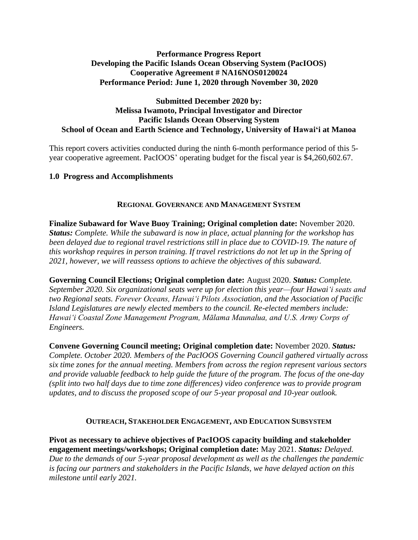# **Performance Progress Report Developing the Pacific Islands Ocean Observing System (PacIOOS) Cooperative Agreement # NA16NOS0120024 Performance Period: June 1, 2020 through November 30, 2020**

## **Submitted December 2020 by: Melissa Iwamoto, Principal Investigator and Director Pacific Islands Ocean Observing System School of Ocean and Earth Science and Technology, University of Hawaiʻi at Manoa**

This report covers activities conducted during the ninth 6-month performance period of this 5 year cooperative agreement. PacIOOS' operating budget for the fiscal year is \$4,260,602.67.

# **1.0 Progress and Accomplishments**

## **REGIONAL GOVERNANCE AND MANAGEMENT SYSTEM**

**Finalize Subaward for Wave Buoy Training; Original completion date:** November 2020. *Status: Complete. While the subaward is now in place, actual planning for the workshop has been delayed due to regional travel restrictions still in place due to COVID-19. The nature of this workshop requires in person training. If travel restrictions do not let up in the Spring of 2021, however, we will reassess options to achieve the objectives of this subaward.*

**Governing Council Elections; Original completion date:** August 2020. *Status: Complete. September 2020. Six organizational seats were up for election this year—four Hawaiʻi seats and two Regional seats. Forever Oceans, Hawaiʻi Pilots Association, and the Association of Pacific Island Legislatures are newly elected members to the council. Re-elected members include: Hawaiʻi Coastal Zone Management Program, Mālama Maunalua, and U.S. Army Corps of Engineers.* 

**Convene Governing Council meeting; Original completion date:** November 2020. *Status: Complete. October 2020. Members of the PacIOOS Governing Council gathered virtually across six time zones for the annual meeting. Members from across the region represent various sectors and provide valuable feedback to help guide the future of the program. The focus of the one-day (split into two half days due to time zone differences) video conference was to provide program updates, and to discuss the proposed scope of our 5-year proposal and 10-year outlook.*

#### **OUTREACH, STAKEHOLDER ENGAGEMENT, AND EDUCATION SUBSYSTEM**

**Pivot as necessary to achieve objectives of PacIOOS capacity building and stakeholder engagement meetings/workshops; Original completion date:** May 2021. *Status: Delayed. Due to the demands of our 5-year proposal development as well as the challenges the pandemic is facing our partners and stakeholders in the Pacific Islands, we have delayed action on this milestone until early 2021.*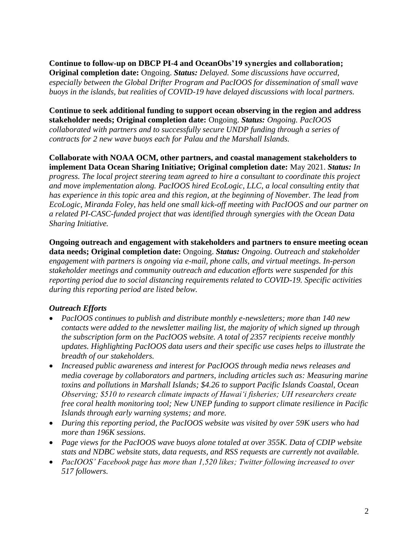# **Continue to follow-up on DBCP PI-4 and OceanObs'19 synergies and collaboration;**

**Original completion date:** Ongoing. *Status: Delayed. Some discussions have occurred, especially between the Global Drifter Program and PacIOOS for dissemination of small wave buoys in the islands, but realities of COVID-19 have delayed discussions with local partners.*

**Continue to seek additional funding to support ocean observing in the region and address stakeholder needs; Original completion date:** Ongoing. *Status: Ongoing. PacIOOS collaborated with partners and to successfully secure UNDP funding through a series of contracts for 2 new wave buoys each for Palau and the Marshall Islands.*

**Collaborate with NOAA OCM, other partners, and coastal management stakeholders to implement Data Ocean Sharing Initiative; Original completion date:** May 2021. *Status: In progress. The local project steering team agreed to hire a consultant to coordinate this project and move implementation along. PacIOOS hired EcoLogic, LLC, a local consulting entity that has experience in this topic area and this region, at the beginning of November. The lead from EcoLogic, Miranda Foley, has held one small kick-off meeting with PacIOOS and our partner on a related PI-CASC-funded project that was identified through synergies with the Ocean Data Sharing Initiative.* 

**Ongoing outreach and engagement with stakeholders and partners to ensure meeting ocean data needs; Original completion date:** Ongoing. *Status: Ongoing. Outreach and stakeholder engagement with partners is ongoing via e-mail, phone calls, and virtual meetings. In-person stakeholder meetings and community outreach and education efforts were suspended for this reporting period due to social distancing requirements related to COVID-19. Specific activities during this reporting period are listed below.*

# *Outreach Efforts*

- *PacIOOS continues to publish and distribute monthly e-newsletters; more than 140 new contacts were added to the newsletter mailing list, the majority of which signed up through the subscription form on the PacIOOS website. A total of 2357 recipients receive monthly updates. Highlighting PacIOOS data users and their specific use cases helps to illustrate the breadth of our stakeholders.*
- *Increased public awareness and interest for PacIOOS through media news releases and media coverage by collaborators and partners, including articles such as: Measuring marine toxins and pollutions in Marshall Islands; \$4.26 to support Pacific Islands Coastal, Ocean Observing; \$510 to research climate impacts of Hawai'i fisheries; UH researchers create free coral health monitoring tool; New UNEP funding to support climate resilience in Pacific Islands through early warning systems; and more.*
- *During this reporting period, the PacIOOS website was visited by over 59K users who had more than 196K sessions.*
- *Page views for the PacIOOS wave buoys alone totaled at over 355K. Data of CDIP website stats and NDBC website stats, data requests, and RSS requests are currently not available.*
- *PacIOOS' Facebook page has more than 1,520 likes; Twitter following increased to over 517 followers.*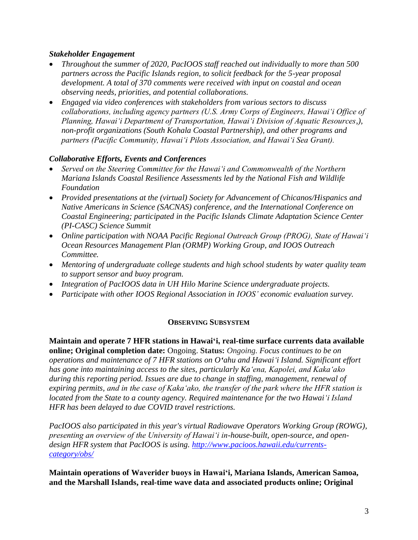# *Stakeholder Engagement*

- *Throughout the summer of 2020, PacIOOS staff reached out individually to more than 500 partners across the Pacific Islands region, to solicit feedback for the 5-year proposal development. A total of 370 comments were received with input on coastal and ocean observing needs, priorities, and potential collaborations.*
- *Engaged via video conferences with stakeholders from various sectors to discuss collaborations, including agency partners (U.S. Army Corps of Engineers, Hawai'i Office of Planning, Hawai'i Department of Transportation, Hawai'i Division of Aquatic Resources,), non-profit organizations (South Kohala Coastal Partnership), and other programs and partners (Pacific Community, Hawai'i Pilots Association, and Hawai'i Sea Grant).*

## *Collaborative Efforts, Events and Conferences*

- *Served on the Steering Committee for the Hawai'i and Commonwealth of the Northern Mariana Islands Coastal Resilience Assessments led by the National Fish and Wildlife Foundation*
- *Provided presentations at the (virtual) Society for Advancement of Chicanos/Hispanics and Native Americans in Science (SACNAS) conference, and the International Conference on Coastal Engineering; participated in the Pacific Islands Climate Adaptation Science Center (PI-CASC) Science Summit*
- *Online participation with NOAA Pacific Regional Outreach Group (PROG), State of Hawaiʻi Ocean Resources Management Plan (ORMP) Working Group, and IOOS Outreach Committee.*
- *Mentoring of undergraduate college students and high school students by water quality team to support sensor and buoy program.*
- *Integration of PacIOOS data in UH Hilo Marine Science undergraduate projects.*
- *Participate with other IOOS Regional Association in IOOS' economic evaluation survey.*

#### **OBSERVING SUBSYSTEM**

**Maintain and operate 7 HFR stations in Hawaiʻi, real-time surface currents data available online; Original completion date:** Ongoing. **Status:** *Ongoing. Focus continues to be on operations and maintenance of 7 HFR stations on Oʻahu and Hawaiʻi Island. Significant effort has gone into maintaining access to the sites, particularly Kaʻena, Kapolei, and Kakaʻako during this reporting period. Issues are due to change in staffing, management, renewal of expiring permits, and in the case of Kakaʻako, the transfer of the park where the HFR station is located from the State to a county agency. Required maintenance for the two Hawaiʻi Island HFR has been delayed to due COVID travel restrictions.* 

*PacIOOS also participated in this year's virtual Radiowave Operators Working Group (ROWG), presenting an overview of the University of Hawai'i in-house-built, open-source, and opendesign HFR system that PacIOOS is using. [http://www.pacioos.hawaii.edu/currents](http://www.pacioos.hawaii.edu/currents-category/obs/)[category/obs/](http://www.pacioos.hawaii.edu/currents-category/obs/)*

**Maintain operations of Waverider buoys in Hawaiʻi, Mariana Islands, American Samoa, and the Marshall Islands, real-time wave data and associated products online; Original**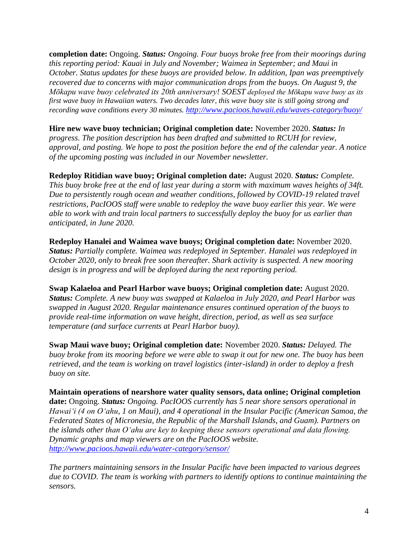**completion date:** Ongoing. *Status: Ongoing. Four buoys broke free from their moorings during this reporting period: Kauai in July and November; Waimea in September; and Maui in October. Status updates for these buoys are provided below. In addition, Ipan was preemptively recovered due to concerns with major communication drops from the buoys. On August 9, the Mōkapu wave buoy celebrated its 20th anniversary! SOEST deployed the Mōkapu wave buoy as its first wave buoy in Hawaiian waters. Two decades later, this wave buoy site is still going strong and recording wave conditions every 30 minutes. <http://www.pacioos.hawaii.edu/waves-category/buoy/>*

**Hire new wave buoy technician; Original completion date:** November 2020. *Status: In progress. The position description has been drafted and submitted to RCUH for review, approval, and posting. We hope to post the position before the end of the calendar year. A notice of the upcoming posting was included in our November newsletter.* 

**Redeploy Ritidian wave buoy; Original completion date:** August 2020. *Status: Complete. This buoy broke free at the end of last year during a storm with maximum waves heights of 34ft. Due to persistently rough ocean and weather conditions, followed by COVID-19 related travel restrictions, PacIOOS staff were unable to redeploy the wave buoy earlier this year. We were able to work with and train local partners to successfully deploy the buoy for us earlier than anticipated, in June 2020.*

**Redeploy Hanalei and Waimea wave buoys; Original completion date:** November 2020. *Status: Partially complete. Waimea was redeployed in September. Hanalei was redeployed in October 2020, only to break free soon thereafter. Shark activity is suspected. A new mooring design is in progress and will be deployed during the next reporting period.*

**Swap Kalaeloa and Pearl Harbor wave buoys; Original completion date:** August 2020. *Status: Complete. A new buoy was swapped at Kalaeloa in July 2020, and Pearl Harbor was swapped in August 2020. Regular maintenance ensures continued operation of the buoys to provide real-time information on wave height, direction, period, as well as sea surface temperature (and surface currents at Pearl Harbor buoy).*

**Swap Maui wave buoy; Original completion date:** November 2020. *Status: Delayed. The buoy broke from its mooring before we were able to swap it out for new one. The buoy has been retrieved, and the team is working on travel logistics (inter-island) in order to deploy a fresh buoy on site.*

**Maintain operations of nearshore water quality sensors, data online; Original completion date:** Ongoing. *Status: Ongoing. PacIOOS currently has 5 near shore sensors operational in Hawaiʻi (4 on Oʻahu, 1 on Maui), and 4 operational in the Insular Pacific (American Samoa, the Federated States of Micronesia, the Republic of the Marshall Islands, and Guam). Partners on the islands other than Oʻahu are key to keeping these sensors operational and data flowing. Dynamic graphs and map viewers are on the PacIOOS website. <http://www.pacioos.hawaii.edu/water-category/sensor/>*

*The partners maintaining sensors in the Insular Pacific have been impacted to various degrees due to COVID. The team is working with partners to identify options to continue maintaining the sensors.*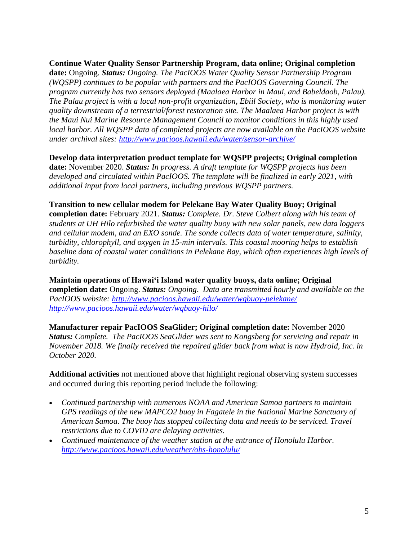**Continue Water Quality Sensor Partnership Program, data online; Original completion date:** Ongoing. *Status: Ongoing. The PacIOOS Water Quality Sensor Partnership Program (WQSPP) continues to be popular with partners and the PacIOOS Governing Council. The program currently has two sensors deployed (Maalaea Harbor in Maui, and Babeldaob, Palau). The Palau project is with a local non-profit organization, Ebiil Society, who is monitoring water quality downstream of a terrestrial/forest restoration site. The Maalaea Harbor project is with the Maui Nui Marine Resource Management Council to monitor conditions in this highly used local harbor. All WQSPP data of completed projects are now available on the PacIOOS website under archival sites:<http://www.pacioos.hawaii.edu/water/sensor-archive/>*

## **Develop data interpretation product template for WQSPP projects; Original completion**

**date:** November 2020. *Status: In progress. A draft template for WQSPP projects has been developed and circulated within PacIOOS. The template will be finalized in early 2021, with additional input from local partners, including previous WQSPP partners.* 

## **Transition to new cellular modem for Pelekane Bay Water Quality Buoy; Original**

**completion date:** February 2021. *Status: Complete. Dr. Steve Colbert along with his team of students at UH Hilo refurbished the water quality buoy with new solar panels, new data loggers and cellular modem, and an EXO sonde. The sonde collects data of water temperature, salinity, turbidity, chlorophyll, and oxygen in 15-min intervals. This coastal mooring helps to establish baseline data of coastal water conditions in Pelekane Bay, which often experiences high levels of turbidity.*

**Maintain operations of Hawaiʻi Island water quality buoys, data online; Original completion date:** Ongoing. *Status: Ongoing*. *Data are transmitted hourly and available on the PacIOOS website:<http://www.pacioos.hawaii.edu/water/wqbuoy-pelekane/> http://www.pacioos.hawaii.edu/water/wqbuoy-hilo/* 

**Manufacturer repair PacIOOS SeaGlider; Original completion date:** November 2020 *Status: Complete. The PacIOOS SeaGlider was sent to Kongsberg for servicing and repair in November 2018. We finally received the repaired glider back from what is now Hydroid, Inc. in October 2020.*

**Additional activities** not mentioned above that highlight regional observing system successes and occurred during this reporting period include the following:

- *Continued partnership with numerous NOAA and American Samoa partners to maintain GPS readings of the new MAPCO2 buoy in Fagatele in the National Marine Sanctuary of American Samoa. The buoy has stopped collecting data and needs to be serviced. Travel restrictions due to COVID are delaying activities.*
- *Continued maintenance of the weather station at the entrance of Honolulu Harbor. <http://www.pacioos.hawaii.edu/weather/obs-honolulu/>*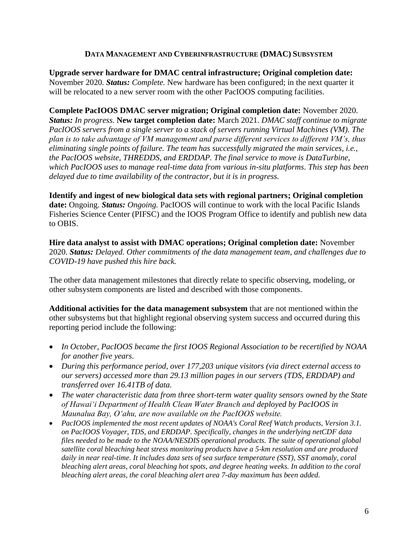## **DATA MANAGEMENT AND CYBERINFRASTRUCTURE (DMAC) SUBSYSTEM**

**Upgrade server hardware for DMAC central infrastructure; Original completion date:**  November 2020. *Status: Complete.* New hardware has been configured; in the next quarter it will be relocated to a new server room with the other PacIOOS computing facilities.

**Complete PacIOOS DMAC server migration; Original completion date:** November 2020. *Status: In progress.* **New target completion date:** March 2021. *DMAC staff continue to migrate PacIOOS servers from a single server to a stack of servers running Virtual Machines (VM). The plan is to take advantage of VM management and parse different services to different VM's, thus eliminating single points of failure. The team has successfully migrated the main services, i.e., the PacIOOS website, THREDDS, and ERDDAP. The final service to move is DataTurbine, which PacIOOS uses to manage real-time data from various in-situ platforms. This step has been delayed due to time availability of the contractor, but it is in progress.*

**Identify and ingest of new biological data sets with regional partners; Original completion date:** Ongoing. *Status: Ongoing.* PacIOOS will continue to work with the local Pacific Islands Fisheries Science Center (PIFSC) and the IOOS Program Office to identify and publish new data to OBIS.

**Hire data analyst to assist with DMAC operations; Original completion date:** November 2020. *Status: Delayed. Other commitments of the data management team, and challenges due to COVID-19 have pushed this hire back.*

The other data management milestones that directly relate to specific observing, modeling, or other subsystem components are listed and described with those components.

**Additional activities for the data management subsystem** that are not mentioned within the other subsystems but that highlight regional observing system success and occurred during this reporting period include the following:

- *In October, PacIOOS became the first IOOS Regional Association to be recertified by NOAA for another five years.*
- *During this performance period, over 177,203 unique visitors (via direct external access to our servers) accessed more than 29.13 million pages in our servers (TDS, ERDDAP) and transferred over 16.41TB of data.*
- *The water characteristic data from three short-term water quality sensors owned by the State of Hawaiʻi Department of Health Clean Water Branch and deployed by PacIOOS in Maunalua Bay, Oʻahu, are now available on the PacIOOS website.*
- *PacIOOS implemented the most recent updates of NOAA's Coral Reef Watch products, Version 3.1. on PacIOOS Voyager, TDS, and ERDDAP. Specifically, changes in the underlying netCDF data files needed to be made to the NOAA/NESDIS operational products. The suite of operational global satellite coral bleaching heat stress monitoring products have a 5-km resolution and are produced daily in near real-time. It includes data sets of sea surface temperature (SST), SST anomaly, coral bleaching alert areas, coral bleaching hot spots, and degree heating weeks. In addition to the coral bleaching alert areas, the coral bleaching alert area 7-day maximum has been added.*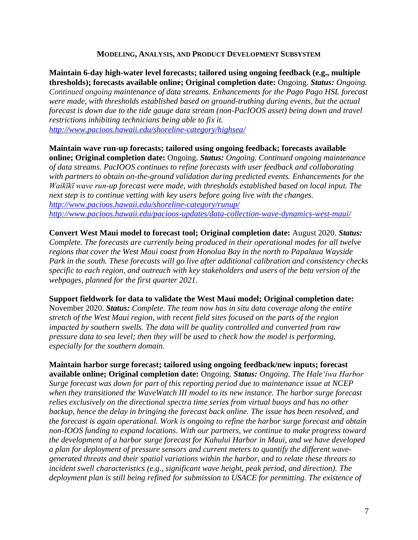#### **MODELING, ANALYSIS, AND PRODUCT DEVELOPMENT SUBSYSTEM**

**Maintain 6-day high-water level forecasts; tailored using ongoing feedback (e.g., multiple thresholds); forecasts available online; Original completion date:** Ongoing. *Status: Ongoing. Continued ongoing maintenance of data streams. Enhancements for the Pago Pago HSL forecast were made, with thresholds established based on ground-truthing during events, but the actual forecast is down due to the tide gauge data stream (non-PacIOOS asset) being down and travel restrictions inhibiting technicians being able to fix it. <http://www.pacioos.hawaii.edu/shoreline-category/highsea/>*

**Maintain wave run-up forecasts; tailored using ongoing feedback; forecasts available online; Original completion date:** Ongoing. *Status: Ongoing. Continued ongoing maintenance of data streams. PacIOOS continues to refine forecasts with user feedback and collaborating with partners to obtain on-the-ground validation during predicted events. Enhancements for the Waikīkī wave run-up forecast were made, with thresholds established based on local input. The next step is to continue vetting with key users before going live with the changes. <http://www.pacioos.hawaii.edu/shoreline-category/runup/> <http://www.pacioos.hawaii.edu/pacioos-updates/data-collection-wave-dynamics-west-maui/>*

**Convert West Maui model to forecast tool; Original completion date:** August 2020. *Status: Complete. The forecasts are currently being produced in their operational modes for all twelve regions that cover the West Maui coast from Honolua Bay in the north to Papalaua Wayside Park in the south. These forecasts will go live after additional calibration and consistency checks specific to each region, and outreach with key stakeholders and users of the beta version of the webpages, planned for the first quarter 2021.*

**Support fieldwork for data to validate the West Maui model; Original completion date:**  November 2020. *Status: Complete. The team now has in situ data coverage along the entire* 

*stretch of the West Maui region, with recent field sites focused on the parts of the region impacted by southern swells. The data will be quality controlled and converted from raw pressure data to sea level; then they will be used to check how the model is performing, especially for the southern domain.*

**Maintain harbor surge forecast; tailored using ongoing feedback/new inputs; forecast available online; Original completion date:** Ongoing. *Status: Ongoing. The Haleʻiwa Harbor Surge forecast was down for part of this reporting period due to maintenance issue at NCEP when they transitioned the WaveWatch III model to its new instance. The harbor surge forecast relies exclusively on the directional spectra time series from virtual buoys and has no other backup, hence the delay in bringing the forecast back online. The issue has been resolved, and the forecast is again operational. Work is ongoing to refine the harbor surge forecast and obtain non-IOOS funding to expand locations. With our partners, we continue to make progress toward the development of a harbor surge forecast for Kahului Harbor in Maui, and we have developed a plan for deployment of pressure sensors and current meters to quantify the different wavegenerated threats and their spatial variations within the harbor, and to relate these threats to incident swell characteristics (e.g., significant wave height, peak period, and direction). The deployment plan is still being refined for submission to USACE for permitting. The existence of*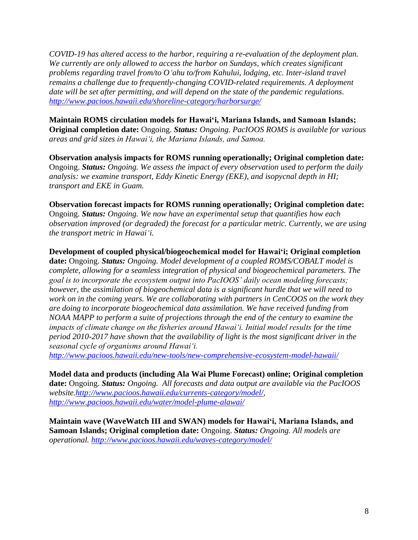*COVID-19 has altered access to the harbor, requiring a re-evaluation of the deployment plan. We currently are only allowed to access the harbor on Sundays, which creates significant problems regarding travel from/to Oʻahu to/from Kahului, lodging, etc. Inter-island travel remains a challenge due to frequently-changing COVID-related requirements. A deployment date will be set after permitting, and will depend on the state of the pandemic regulations. <http://www.pacioos.hawaii.edu/shoreline-category/harborsurge/>*

**Maintain ROMS circulation models for Hawaiʻi, Mariana Islands, and Samoan Islands; Original completion date:** Ongoing. *Status: Ongoing. PacIOOS ROMS is available for various areas and grid sizes in Hawaiʻi, the Mariana Islands, and Samoa.*

**Observation analysis impacts for ROMS running operationally; Original completion date:**  Ongoing. *Status: Ongoing. We assess the impact of every observation used to perform the daily analysis: we examine transport, Eddy Kinetic Energy (EKE), and isopycnal depth in HI; transport and EKE in Guam.*

#### **Observation forecast impacts for ROMS running operationally; Original completion date:**

Ongoing. *Status: Ongoing. We now have an experimental setup that quantifies how each observation improved (or degraded) the forecast for a particular metric. Currently, we are using the transport metric in Hawaiʻi.*

**Development of coupled physical/biogeochemical model for Hawaiʻi; Original completion date:** Ongoing. *Status: Ongoing. Model development of a coupled ROMS/COBALT model is complete, allowing for a seamless integration of physical and biogeochemical parameters. The goal is to incorporate the ecosystem output into PacIOOS' daily ocean modeling forecasts; however,* the *assimilation of biogeochemical data is a significant hurdle that we will need to work on in the coming years. We are collaborating with partners in CenCOOS on the work they are doing to incorporate biogeochemical data assimilation. We have received funding from NOAA MAPP to perform a suite of projections through the end of the century to examine the impacts of climate change on the fisheries around Hawaiʻi. Initial model results for the time period 2010-2017 have shown that the availability of light is the most significant driver in the seasonal cycle of organisms around Hawaiʻi.*

*<http://www.pacioos.hawaii.edu/new-tools/new-comprehensive-ecosystem-model-hawaii/>*

**Model data and products (including Ala Wai Plume Forecast) online; Original completion date:** Ongoing. *Status: Ongoing. All forecasts and data output are available via the PacIOOS website[.http://www.pacioos.hawaii.edu/currents-category/model/,](http://www.pacioos.hawaii.edu/currents-category/model/) <http://www.pacioos.hawaii.edu/water/model-plume-alawai/>*

**Maintain wave (WaveWatch III and SWAN) models for Hawaiʻi, Mariana Islands, and Samoan Islands; Original completion date:** Ongoing. *Status: Ongoing. All models are operational. <http://www.pacioos.hawaii.edu/waves-category/model/>*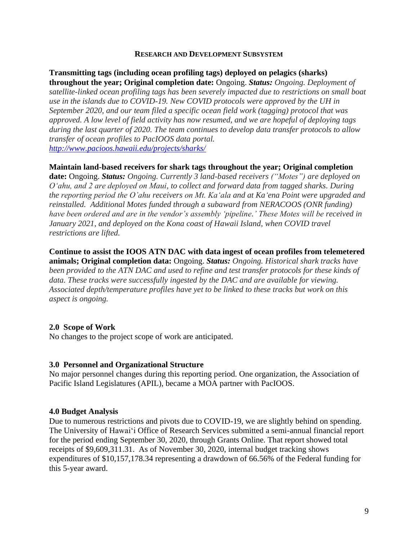#### **RESEARCH AND DEVELOPMENT SUBSYSTEM**

**Transmitting tags (including ocean profiling tags) deployed on pelagics (sharks) throughout the year; Original completion date:** Ongoing. *Status: Ongoing. Deployment of satellite-linked ocean profiling tags has been severely impacted due to restrictions on small boat use in the islands due to COVID-19. New COVID protocols were approved by the UH in September 2020, and our team filed a specific ocean field work (tagging) protocol that was approved. A low level of field activity has now resumed, and we are hopeful of deploying tags during the last quarter of 2020. The team continues to develop data transfer protocols to allow transfer of ocean profiles to PacIOOS data portal. <http://www.pacioos.hawaii.edu/projects/sharks/>*

## **Maintain land-based receivers for shark tags throughout the year; Original completion**

**date:** Ongoing. *Status: Ongoing. Currently 3 land-based receivers ("Motes") are deployed on Oʻahu, and 2 are deployed on Maui, to collect and forward data from tagged sharks. During the reporting period the O'ahu receivers on Mt. Kaʻala and at Kaʻena Point were upgraded and reinstalled. Additional Motes funded through a subaward from NERACOOS (ONR funding)*  have been ordered and are in the vendor's assembly 'pipeline.' These Motes will be received in *January 2021, and deployed on the Kona coast of Hawaii Island, when COVID travel restrictions are lifted.*

**Continue to assist the IOOS ATN DAC with data ingest of ocean profiles from telemetered animals; Original completion data:** Ongoing. *Status: Ongoing. Historical shark tracks have been provided to the ATN DAC and used to refine and test transfer protocols for these kinds of data. These tracks were successfully ingested by the DAC and are available for viewing. Associated depth/temperature profiles have yet to be linked to these tracks but work on this aspect is ongoing.*

#### **2.0 Scope of Work**

No changes to the project scope of work are anticipated.

#### **3.0 Personnel and Organizational Structure**

No major personnel changes during this reporting period. One organization, the Association of Pacific Island Legislatures (APIL), became a MOA partner with PacIOOS.

#### **4.0 Budget Analysis**

Due to numerous restrictions and pivots due to COVID-19, we are slightly behind on spending. The University of Hawaiʻi Office of Research Services submitted a semi-annual financial report for the period ending September 30, 2020, through Grants Online. That report showed total receipts of \$9,609,311.31. As of November 30, 2020, internal budget tracking shows expenditures of \$10,157,178.34 representing a drawdown of 66.56% of the Federal funding for this 5-year award.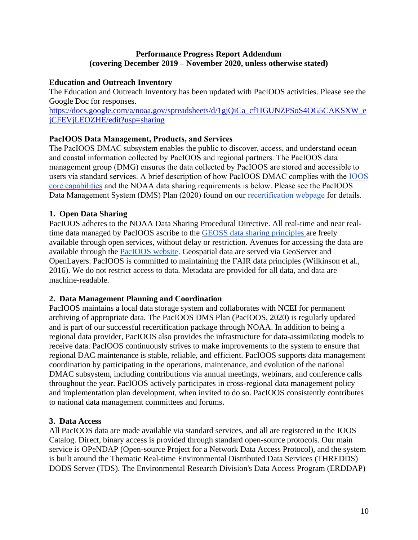## **Performance Progress Report Addendum (covering December 2019 – November 2020, unless otherwise stated)**

# **Education and Outreach Inventory**

The Education and Outreach Inventory has been updated with PacIOOS activities. Please see the Google Doc for responses.

[https://docs.google.com/a/noaa.gov/spreadsheets/d/1gjQiCa\\_cf1IGUNZPSoS4OG5CAKSXW\\_e](https://docs.google.com/a/noaa.gov/spreadsheets/d/1gjQiCa_cf1IGUNZPSoS4OG5CAKSXW_ejCFEVjLEOZHE/edit?usp=sharing) [jCFEVjLEOZHE/edit?usp=sharing](https://docs.google.com/a/noaa.gov/spreadsheets/d/1gjQiCa_cf1IGUNZPSoS4OG5CAKSXW_ejCFEVjLEOZHE/edit?usp=sharing)

# **PacIOOS Data Management, Products, and Services**

The PacIOOS DMAC subsystem enables the public to discover, access, and understand ocean and coastal information collected by PacIOOS and regional partners. The PacIOOS data management group (DMG) ensures the data collected by PacIOOS are stored and accessible to users via standard services. A brief description of how PacIOOS DMAC complies with the [IOOS](https://ioos.noaa.gov/data/contribute-%20data/)  [core capabilities](https://ioos.noaa.gov/data/contribute-%20data/) and the NOAA data sharing requirements is below. Please see the PacIOOS Data Management System (DMS) Plan (2020) found on our [recertification webpage](http://www.pacioos.hawaii.edu/certification/) for details.

# **1. Open Data Sharing**

PacIOOS adheres to the NOAA Data Sharing Procedural Directive. All real-time and near realtime data managed by PacIOOS ascribe to the [GEOSS data sharing principles a](http://www.earthobservations.org/geoss_dsp.shtml)re freely available through open services, without delay or restriction. Avenues for accessing the data are available through the [PacIOOS website.](http://www.pacioos.hawaii.edu/data-access/servers/) Geospatial data are served via GeoServer and OpenLayers. PacIOOS is committed to maintaining the FAIR data principles (Wilkinson et al., 2016). We do not restrict access to data. Metadata are provided for all data, and data are machine-readable.

#### **2. Data Management Planning and Coordination**

PacIOOS maintains a local data storage system and collaborates with NCEI for permanent archiving of appropriate data. The PacIOOS DMS Plan (PacIOOS, 2020) is regularly updated and is part of our successful recertification package through NOAA. In addition to being a regional data provider, PacIOOS also provides the infrastructure for data-assimilating models to receive data. PacIOOS continuously strives to make improvements to the system to ensure that regional DAC maintenance is stable, reliable, and efficient. PacIOOS supports data management coordination by participating in the operations, maintenance, and evolution of the national DMAC subsystem, including contributions via annual meetings, webinars, and conference calls throughout the year. PacIOOS actively participates in cross-regional data management policy and implementation plan development, when invited to do so. PacIOOS consistently contributes to national data management committees and forums.

#### **3. Data Access**

All PacIOOS data are made available via standard services, and all are registered in the IOOS Catalog. Direct, binary access is provided through standard open-source protocols. Our main service is OPeNDAP (Open-source Project for a Network Data Access Protocol), and the system is built around the Thematic Real-time Environmental Distributed Data Services (THREDDS) DODS Server (TDS). The Environmental Research Division's Data Access Program (ERDDAP)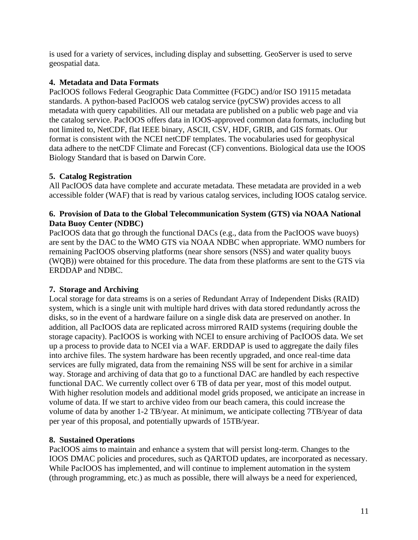is used for a variety of services, including display and subsetting. GeoServer is used to serve geospatial data.

# **4. Metadata and Data Formats**

PacIOOS follows Federal Geographic Data Committee (FGDC) and/or ISO 19115 metadata standards. A python-based PacIOOS web catalog service (pyCSW) provides access to all metadata with query capabilities. All our metadata are published on a public web page and via the catalog service. PacIOOS offers data in IOOS-approved common data formats, including but not limited to, NetCDF, flat IEEE binary, ASCII, CSV, HDF, GRIB, and GIS formats. Our format is consistent with the NCEI netCDF templates. The vocabularies used for geophysical data adhere to the netCDF Climate and Forecast (CF) conventions. Biological data use the IOOS Biology Standard that is based on Darwin Core.

# **5. Catalog Registration**

All PacIOOS data have complete and accurate metadata. These metadata are provided in a web accessible folder (WAF) that is read by various catalog services, including IOOS catalog service.

# **6. Provision of Data to the Global Telecommunication System (GTS) via NOAA National Data Buoy Center (NDBC)**

PacIOOS data that go through the functional DACs (e.g., data from the PacIOOS wave buoys) are sent by the DAC to the WMO GTS via NOAA NDBC when appropriate. WMO numbers for remaining PacIOOS observing platforms (near shore sensors (NSS) and water quality buoys (WQB)) were obtained for this procedure. The data from these platforms are sent to the GTS via ERDDAP and NDBC.

# **7. Storage and Archiving**

Local storage for data streams is on a series of Redundant Array of Independent Disks (RAID) system, which is a single unit with multiple hard drives with data stored redundantly across the disks, so in the event of a hardware failure on a single disk data are preserved on another. In addition, all PacIOOS data are replicated across mirrored RAID systems (requiring double the storage capacity). PacIOOS is working with NCEI to ensure archiving of PacIOOS data. We set up a process to provide data to NCEI via a WAF. ERDDAP is used to aggregate the daily files into archive files. The system hardware has been recently upgraded, and once real-time data services are fully migrated, data from the remaining NSS will be sent for archive in a similar way. Storage and archiving of data that go to a functional DAC are handled by each respective functional DAC. We currently collect over 6 TB of data per year, most of this model output. With higher resolution models and additional model grids proposed, we anticipate an increase in volume of data. If we start to archive video from our beach camera, this could increase the volume of data by another 1-2 TB/year. At minimum, we anticipate collecting 7TB/year of data per year of this proposal, and potentially upwards of 15TB/year.

# **8. Sustained Operations**

PacIOOS aims to maintain and enhance a system that will persist long-term. Changes to the IOOS DMAC policies and procedures, such as QARTOD updates, are incorporated as necessary. While PacIOOS has implemented, and will continue to implement automation in the system (through programming, etc.) as much as possible, there will always be a need for experienced,